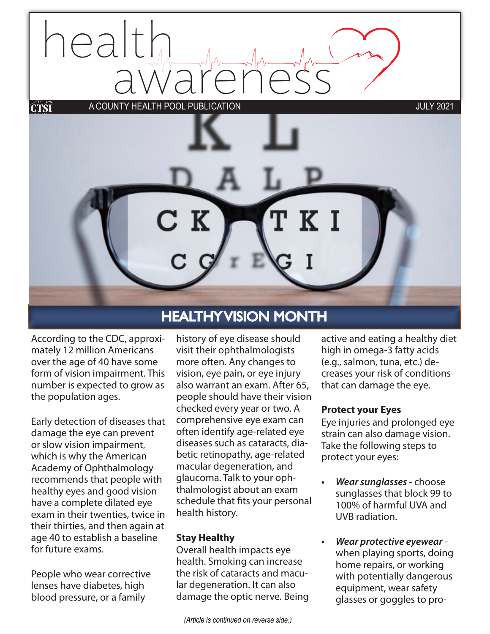# eal awareness A COUNTY HEALTH POOL PUBLICATION JULY 2021



According to the CDC, approximately 12 million Americans over the age of 40 have some form of vision impairment. This number is expected to grow as the population ages.

Early detection of diseases that damage the eye can prevent or slow vision impairment, which is why the American Academy of Ophthalmology recommends that people with healthy eyes and good vision have a complete dilated eye exam in their twenties, twice in their thirties, and then again at age 40 to establish a baseline for future exams.

People who wear corrective lenses have diabetes, high blood pressure, or a family

## HEALTHY VISION MONTH

history of eye disease should visit their ophthalmologists more often. Any changes to vision, eye pain, or eye injury also warrant an exam. After 65, people should have their vision checked every year or two. A comprehensive eye exam can often identify age-related eye diseases such as cataracts, diabetic retinopathy, age-related macular degeneration, and glaucoma. Talk to your ophthalmologist about an exam schedule that fits your personal health history.

#### **Stay Healthy**

Overall health impacts eye health. Smoking can increase the risk of cataracts and macular degeneration. It can also damage the optic nerve. Being

*(Article is continued on reverse side.)*

active and eating a healthy diet high in omega-3 fatty acids (e.g., salmon, tuna, etc.) decreases your risk of conditions that can damage the eye.

#### **Protect your Eyes**

Eye injuries and prolonged eye strain can also damage vision. Take the following steps to protect your eyes:

- *• Wear sunglasses*  choose sunglasses that block 99 to 100% of harmful UVA and UVB radiation.
- *• Wear protective eyewear* when playing sports, doing home repairs, or working with potentially dangerous equipment, wear safety glasses or goggles to pro-